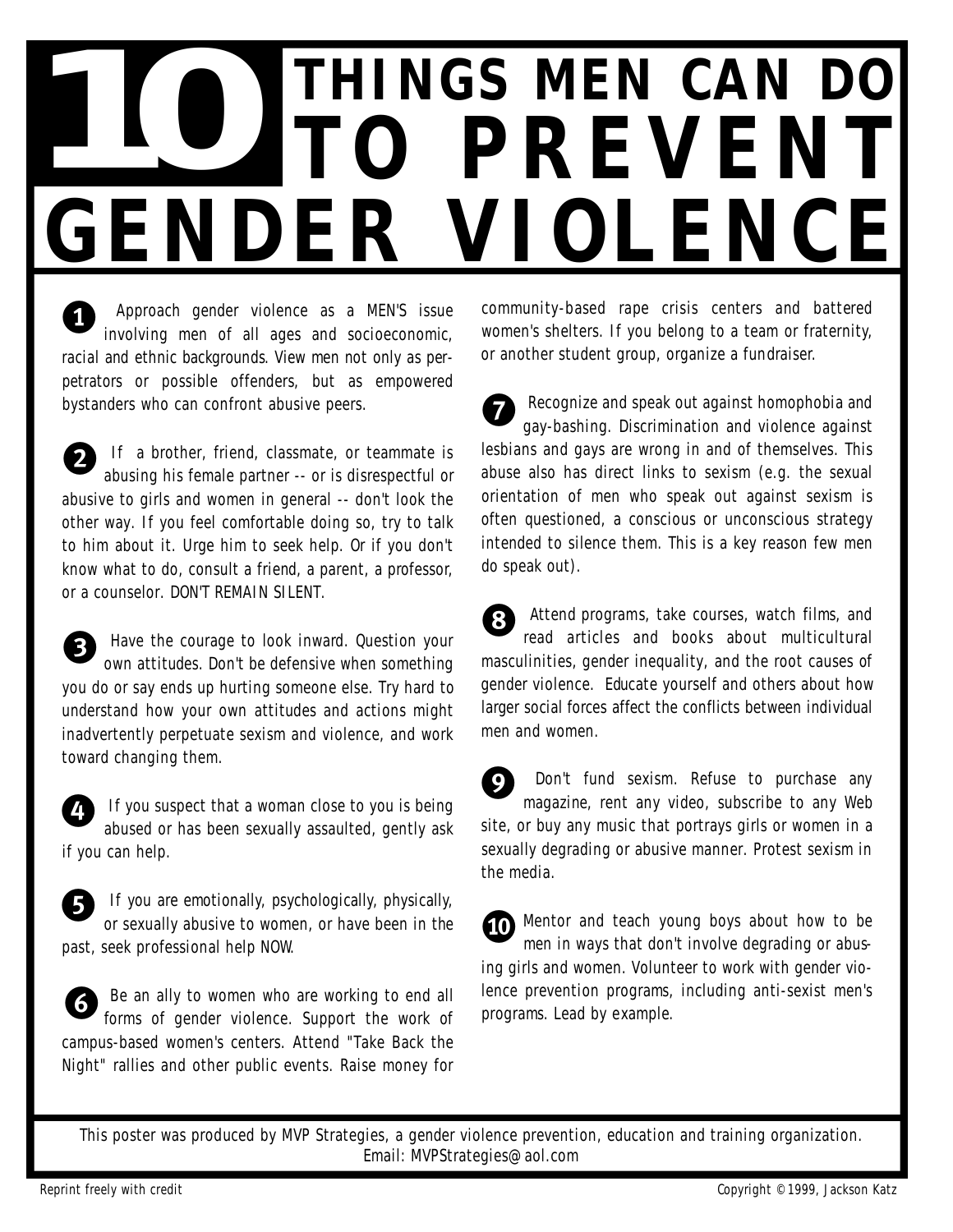## **10 PREVENT P R E V E N T GENDER VIOLENCE**

 $\boldsymbol{0}$ Approach gender violence as a MEN'S issue involving men of all ages and socioeconomic, racial and ethnic backgrounds. View men not only as perpetrators or possible offenders, but as empowered bystanders who can confront abusive peers.

2 2 If a brother, friend, classmate, or teammate is abusing his female partner -- or is disrespectful or abusive to girls and women in general -- don't look the other way. If you feel comfortable doing so, try to talk to him about it. Urge him to seek help. Or if you don't know what to do, consult a friend, a parent, a professor, or a counselor. DON'T REMAIN SILENT.

 $\boldsymbol{\Theta}$ Have the courage to look inward. Question your own attitudes. Don't be defensive when something you do or say ends up hurting someone else. Try hard to understand how your own attitudes and actions might inadvertently perpetuate sexism and violence, and work toward changing them.  $\bullet$ 

 $\boldsymbol{\omega}$ If you suspect that a woman close to you is being abused or has been sexually assaulted, gently ask if you can help.  $\boldsymbol{\theta}$ 



**g** If you are emotionally, psychologically, physically, or sexually abusive to women, or have been in the past, seek professional help NOW.

6 Be an ally to women who are working to end all forms of gender violence. Support the work of campus-based women's centers. Attend "Take Back the Night" rallies and other public events. Raise money for 6

community-based rape crisis centers and battered women's shelters. If you belong to a team or fraternity, or another student group, organize a fundraiser.

 $\boldsymbol{\theta}$ Recognize and speak out against homophobia and gay-bashing. Discrimination and violence against lesbians and gays are wrong in and of themselves. This abuse also has direct links to sexism (e.g. the sexual orientation of men who speak out against sexism is often questioned, a conscious or unconscious strategy intended to silence them. This is a key reason few men do speak out).  $\ddot{\boldsymbol{\theta}}$ 

Attend programs, take courses, watch films, and<br>read articles and books about multicultural read articles and books about multicultural masculinities, gender inequality, and the root causes of gender violence. Educate yourself and others about how larger social forces affect the conflicts between individual men and women.

 $\boldsymbol{\Theta}$ Don't fund sexism. Refuse to purchase any magazine, rent any video, subscribe to any Web site, or buy any music that portrays girls or women in a sexually degrading or abusive manner. Protest sexism in the media.

**th** Mentor and teach young boys about how to be men in ways that don't involve degrading or abusing girls and women. Volunteer to work with gender violence prevention programs, including anti-sexist men's programs. Lead by example. 0

This poster was produced by MVP Strategies, a gender violence prevention, education and training organization. Email: MVPStrategies@aol.com